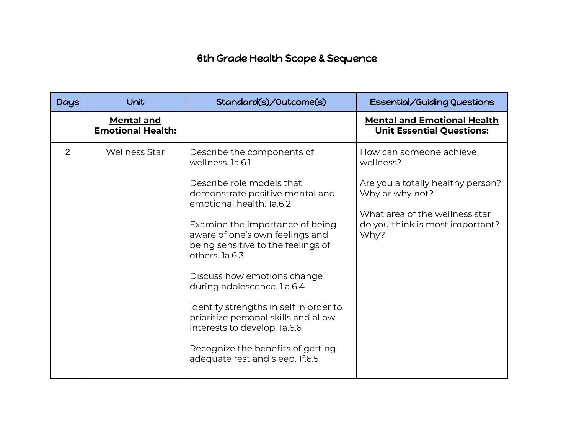## 6th Grade Health Scope & Sequence

| <b>Days</b> | Unit                                          | Standard(s)/Outcome(s)                                                                                                                                                                                                                                                                                                                                                                                                                                                                                                           | Essential/Guiding Questions                                                                                                                                               |
|-------------|-----------------------------------------------|----------------------------------------------------------------------------------------------------------------------------------------------------------------------------------------------------------------------------------------------------------------------------------------------------------------------------------------------------------------------------------------------------------------------------------------------------------------------------------------------------------------------------------|---------------------------------------------------------------------------------------------------------------------------------------------------------------------------|
|             | <b>Mental and</b><br><b>Emotional Health:</b> |                                                                                                                                                                                                                                                                                                                                                                                                                                                                                                                                  | <b>Mental and Emotional Health</b><br><b>Unit Essential Questions:</b>                                                                                                    |
| 2           | <b>Wellness Star</b>                          | Describe the components of<br>wellness, 1a.6.1<br>Describe role models that<br>demonstrate positive mental and<br>emotional health. 1a.6.2<br>Examine the importance of being<br>aware of one's own feelings and<br>being sensitive to the feelings of<br>others. la.6.3<br>Discuss how emotions change<br>during adolescence. 1.a.6.4<br>Identify strengths in self in order to<br>prioritize personal skills and allow<br>interests to develop. la.6.6<br>Recognize the benefits of getting<br>adequate rest and sleep. If.6.5 | How can someone achieve<br>wellness?<br>Are you a totally healthy person?<br>Why or why not?<br>What area of the wellness star<br>do you think is most important?<br>Why? |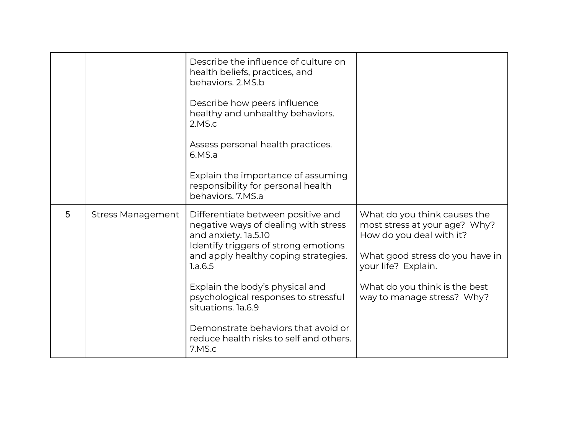|   |                          | Describe the influence of culture on<br>health beliefs, practices, and<br>behaviors, 2.MS.b<br>Describe how peers influence<br>healthy and unhealthy behaviors.<br>2.MS.c<br>Assess personal health practices.<br>6.MS.a<br>Explain the importance of assuming<br>responsibility for personal health<br>behaviors. 7.MS.a                                                                  |                                                                                                                                                                                                                    |
|---|--------------------------|--------------------------------------------------------------------------------------------------------------------------------------------------------------------------------------------------------------------------------------------------------------------------------------------------------------------------------------------------------------------------------------------|--------------------------------------------------------------------------------------------------------------------------------------------------------------------------------------------------------------------|
| 5 | <b>Stress Management</b> | Differentiate between positive and<br>negative ways of dealing with stress<br>and anxiety. la.5.10<br>Identify triggers of strong emotions<br>and apply healthy coping strategies.<br>1.a.6.5<br>Explain the body's physical and<br>psychological responses to stressful<br>situations. 1a.6.9<br>Demonstrate behaviors that avoid or<br>reduce health risks to self and others.<br>7.MS.c | What do you think causes the<br>most stress at your age? Why?<br>How do you deal with it?<br>What good stress do you have in<br>your life? Explain.<br>What do you think is the best<br>way to manage stress? Why? |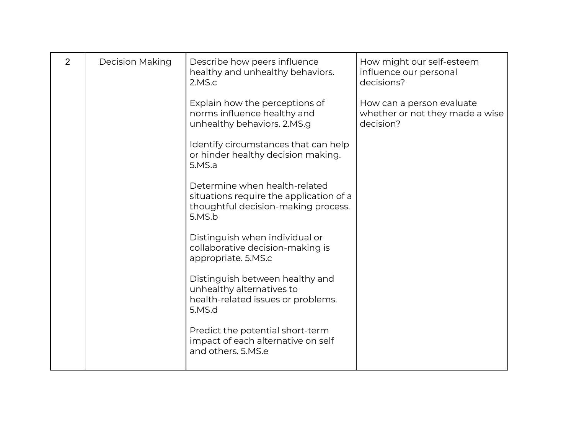| $\overline{2}$ | <b>Decision Making</b> | Describe how peers influence<br>healthy and unhealthy behaviors.<br>2.MS.c                                                | How might our self-esteem<br>influence our personal<br>decisions?         |
|----------------|------------------------|---------------------------------------------------------------------------------------------------------------------------|---------------------------------------------------------------------------|
|                |                        | Explain how the perceptions of<br>norms influence healthy and<br>unhealthy behaviors. 2.MS.g                              | How can a person evaluate<br>whether or not they made a wise<br>decision? |
|                |                        | Identify circumstances that can help<br>or hinder healthy decision making.<br>5.MS.a                                      |                                                                           |
|                |                        | Determine when health-related<br>situations require the application of a<br>thoughtful decision-making process.<br>5.MS.b |                                                                           |
|                |                        | Distinguish when individual or<br>collaborative decision-making is<br>appropriate. 5.MS.c                                 |                                                                           |
|                |                        | Distinguish between healthy and<br>unhealthy alternatives to<br>health-related issues or problems.<br>5.MS.d              |                                                                           |
|                |                        | Predict the potential short-term<br>impact of each alternative on self<br>and others, 5.MS.e                              |                                                                           |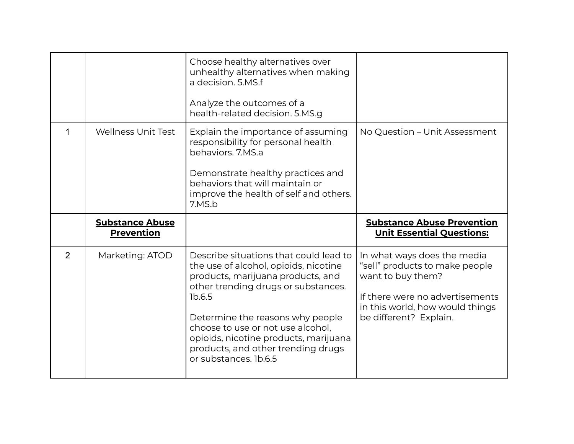|                           | Choose healthy alternatives over<br>unhealthy alternatives when making<br>a decision. 5.MS.f<br>Analyze the outcomes of a<br>health-related decision. 5.MS.g                                                              |                                                                       |
|---------------------------|---------------------------------------------------------------------------------------------------------------------------------------------------------------------------------------------------------------------------|-----------------------------------------------------------------------|
| <b>Wellness Unit Test</b> | Explain the importance of assuming<br>responsibility for personal health<br>behaviors, 7.MS.a<br>Demonstrate healthy practices and<br>behaviors that will maintain or<br>improve the health of self and others.<br>7.MS.b | No Question - Unit Assessment                                         |
| <b>Substance Abuse</b>    |                                                                                                                                                                                                                           |                                                                       |
| <b>Prevention</b>         |                                                                                                                                                                                                                           | <b>Substance Abuse Prevention</b><br><b>Unit Essential Questions:</b> |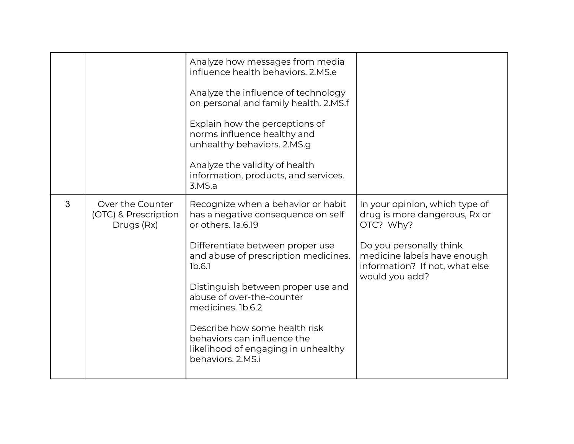|   |                                                        | Analyze how messages from media<br>influence health behaviors, 2.MS.e<br>Analyze the influence of technology<br>on personal and family health. 2.MS.f<br>Explain how the perceptions of<br>norms influence healthy and<br>unhealthy behaviors. 2.MS.g<br>Analyze the validity of health<br>information, products, and services.<br>3.MS.a |                                                                                                                                                                                            |
|---|--------------------------------------------------------|-------------------------------------------------------------------------------------------------------------------------------------------------------------------------------------------------------------------------------------------------------------------------------------------------------------------------------------------|--------------------------------------------------------------------------------------------------------------------------------------------------------------------------------------------|
| 3 | Over the Counter<br>(OTC) & Prescription<br>Drugs (Rx) | Recognize when a behavior or habit<br>has a negative consequence on self<br>or others. 1a.6.19<br>Differentiate between proper use<br>and abuse of prescription medicines.<br>1b.6.1<br>Distinguish between proper use and<br>abuse of over-the-counter<br>medicines. 1b.6.2                                                              | In your opinion, which type of<br>drug is more dangerous, Rx or<br>OTC? Why?<br>Do you personally think<br>medicine labels have enough<br>information? If not, what else<br>would you add? |
|   |                                                        | Describe how some health risk<br>behaviors can influence the<br>likelihood of engaging in unhealthy<br>behaviors, 2, MS.i                                                                                                                                                                                                                 |                                                                                                                                                                                            |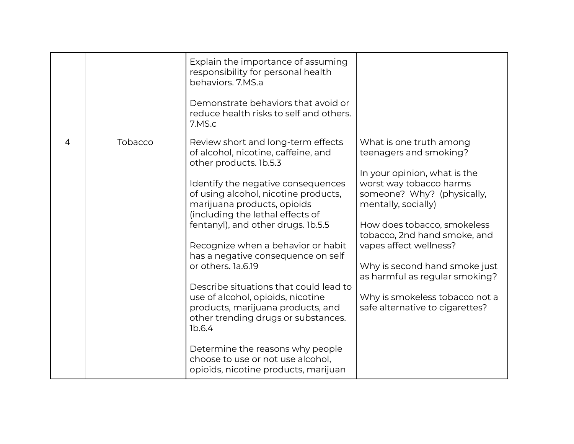|                |         | Explain the importance of assuming<br>responsibility for personal health<br>behaviors, 7.MS.a<br>Demonstrate behaviors that avoid or<br>reduce health risks to self and others.<br>7.MS.c                                                                                                                                                                                                                                                                                                                                                                                                                                                                                          |                                                                                                                                                                                                                                                                                                                                                                                                    |
|----------------|---------|------------------------------------------------------------------------------------------------------------------------------------------------------------------------------------------------------------------------------------------------------------------------------------------------------------------------------------------------------------------------------------------------------------------------------------------------------------------------------------------------------------------------------------------------------------------------------------------------------------------------------------------------------------------------------------|----------------------------------------------------------------------------------------------------------------------------------------------------------------------------------------------------------------------------------------------------------------------------------------------------------------------------------------------------------------------------------------------------|
| $\overline{4}$ | Tobacco | Review short and long-term effects<br>of alcohol, nicotine, caffeine, and<br>other products. 1b.5.3<br>Identify the negative consequences<br>of using alcohol, nicotine products,<br>marijuana products, opioids<br>(including the lethal effects of<br>fentanyl), and other drugs. 1b.5.5<br>Recognize when a behavior or habit<br>has a negative consequence on self<br>or others. 1a.6.19<br>Describe situations that could lead to<br>use of alcohol, opioids, nicotine<br>products, marijuana products, and<br>other trending drugs or substances.<br>1b.6.4<br>Determine the reasons why people<br>choose to use or not use alcohol,<br>opioids, nicotine products, marijuan | What is one truth among<br>teenagers and smoking?<br>In your opinion, what is the<br>worst way tobacco harms<br>someone? Why? (physically,<br>mentally, socially)<br>How does tobacco, smokeless<br>tobacco, 2nd hand smoke, and<br>vapes affect wellness?<br>Why is second hand smoke just<br>as harmful as regular smoking?<br>Why is smokeless tobacco not a<br>safe alternative to cigarettes? |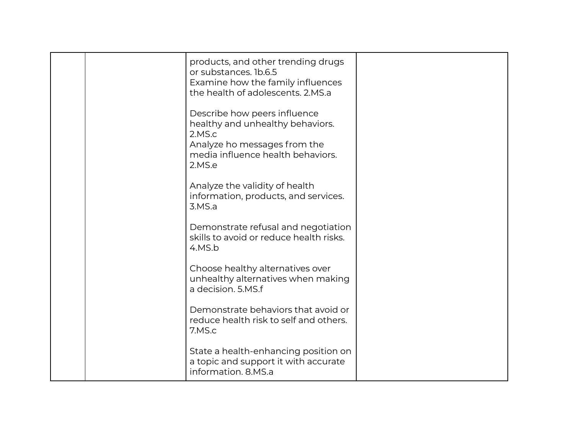| products, and other trending drugs<br>or substances. 1b.6.5<br>Examine how the family influences<br>the health of adolescents. 2.MS.a                     |  |
|-----------------------------------------------------------------------------------------------------------------------------------------------------------|--|
| Describe how peers influence<br>healthy and unhealthy behaviors.<br>2.MS.c<br>Analyze ho messages from the<br>media influence health behaviors.<br>2.MS.e |  |
| Analyze the validity of health<br>information, products, and services.<br>3.MS.a                                                                          |  |
| Demonstrate refusal and negotiation<br>skills to avoid or reduce health risks.<br>4.MS.b                                                                  |  |
| Choose healthy alternatives over<br>unhealthy alternatives when making<br>a decision, 5.MS.f                                                              |  |
| Demonstrate behaviors that avoid or<br>reduce health risk to self and others.<br>7.MS.c                                                                   |  |
| State a health-enhancing position on<br>a topic and support it with accurate<br>information. 8.MS.a                                                       |  |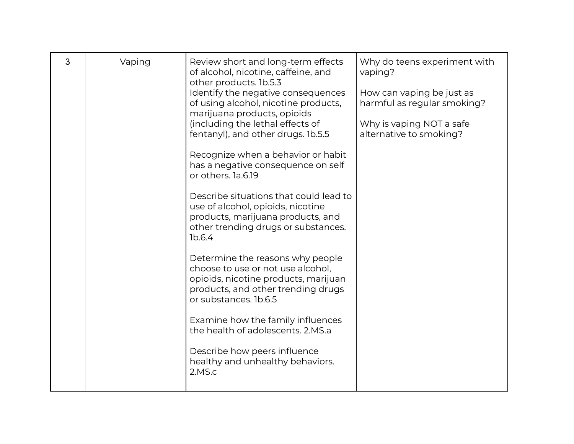| 3 | Vaping | Review short and long-term effects<br>of alcohol, nicotine, caffeine, and<br>other products. 1b.5.3<br>Identify the negative consequences<br>of using alcohol, nicotine products,<br>marijuana products, opioids<br>(including the lethal effects of<br>fentanyl), and other drugs. 1b.5.5<br>Recognize when a behavior or habit<br>has a negative consequence on self<br>or others. 1a.6.19<br>Describe situations that could lead to<br>use of alcohol, opioids, nicotine<br>products, marijuana products, and<br>other trending drugs or substances.<br>1b.6.4<br>Determine the reasons why people<br>choose to use or not use alcohol,<br>opioids, nicotine products, marijuan<br>products, and other trending drugs<br>or substances. 1b.6.5<br>Examine how the family influences<br>the health of adolescents, 2.MS.a<br>Describe how peers influence<br>healthy and unhealthy behaviors.<br>2.MS.c | Why do teens experiment with<br>vaping?<br>How can vaping be just as<br>harmful as regular smoking?<br>Why is vaping NOT a safe<br>alternative to smoking? |
|---|--------|-----------------------------------------------------------------------------------------------------------------------------------------------------------------------------------------------------------------------------------------------------------------------------------------------------------------------------------------------------------------------------------------------------------------------------------------------------------------------------------------------------------------------------------------------------------------------------------------------------------------------------------------------------------------------------------------------------------------------------------------------------------------------------------------------------------------------------------------------------------------------------------------------------------|------------------------------------------------------------------------------------------------------------------------------------------------------------|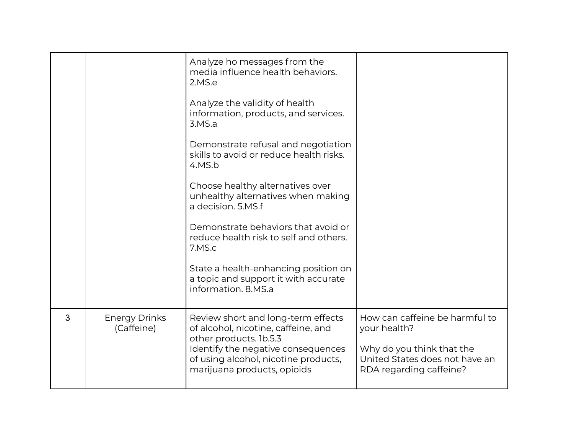|   |                                    | Analyze ho messages from the<br>media influence health behaviors.<br>2.MS.e<br>Analyze the validity of health<br>information, products, and services.<br>3.MS.a<br>Demonstrate refusal and negotiation<br>skills to avoid or reduce health risks.<br>4.MS.b<br>Choose healthy alternatives over<br>unhealthy alternatives when making<br>a decision, 5.MS.f<br>Demonstrate behaviors that avoid or<br>reduce health risk to self and others.<br>7.MS.c<br>State a health-enhancing position on<br>a topic and support it with accurate<br>information, 8.MS.a |                                                                                                                                          |
|---|------------------------------------|---------------------------------------------------------------------------------------------------------------------------------------------------------------------------------------------------------------------------------------------------------------------------------------------------------------------------------------------------------------------------------------------------------------------------------------------------------------------------------------------------------------------------------------------------------------|------------------------------------------------------------------------------------------------------------------------------------------|
| 3 | <b>Energy Drinks</b><br>(Caffeine) | Review short and long-term effects<br>of alcohol, nicotine, caffeine, and<br>other products. 1b.5.3<br>Identify the negative consequences<br>of using alcohol, nicotine products,<br>marijuana products, opioids                                                                                                                                                                                                                                                                                                                                              | How can caffeine be harmful to<br>your health?<br>Why do you think that the<br>United States does not have an<br>RDA regarding caffeine? |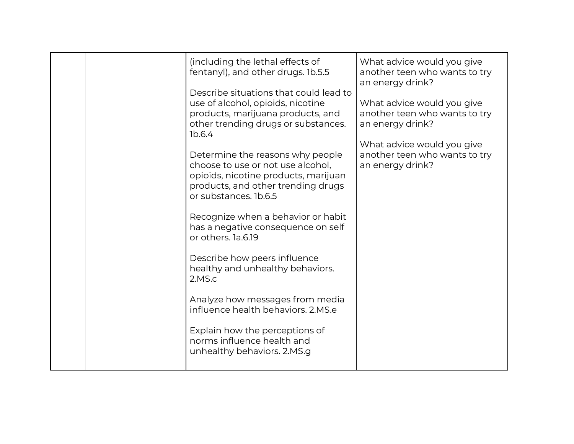|  | (including the lethal effects of<br>fentanyl), and other drugs. 1b.5.5                                                                                                       | What advice would you give<br>another teen who wants to try<br>an energy drink? |
|--|------------------------------------------------------------------------------------------------------------------------------------------------------------------------------|---------------------------------------------------------------------------------|
|  | Describe situations that could lead to<br>use of alcohol, opioids, nicotine<br>products, marijuana products, and<br>other trending drugs or substances.<br>1b.6.4            | What advice would you give<br>another teen who wants to try<br>an energy drink? |
|  | Determine the reasons why people<br>choose to use or not use alcohol,<br>opioids, nicotine products, marijuan<br>products, and other trending drugs<br>or substances. 1b.6.5 | What advice would you give<br>another teen who wants to try<br>an energy drink? |
|  | Recognize when a behavior or habit<br>has a negative consequence on self<br>or others. 1a.6.19                                                                               |                                                                                 |
|  | Describe how peers influence<br>healthy and unhealthy behaviors.<br>2.MS.c                                                                                                   |                                                                                 |
|  | Analyze how messages from media<br>influence health behaviors, 2.MS.e                                                                                                        |                                                                                 |
|  | Explain how the perceptions of<br>norms influence health and<br>unhealthy behaviors. 2.MS.g                                                                                  |                                                                                 |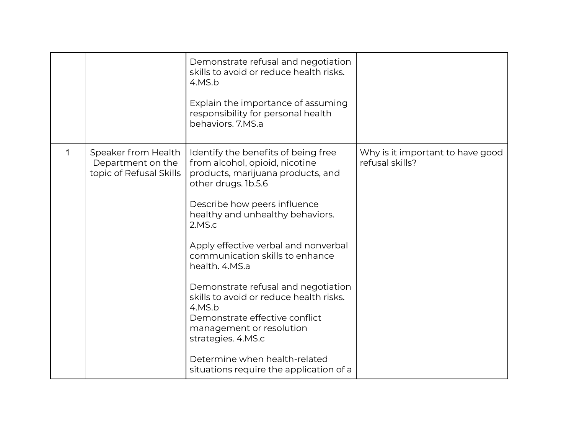|             |                                                                     | Demonstrate refusal and negotiation<br>skills to avoid or reduce health risks.<br>4.MS.b<br>Explain the importance of assuming<br>responsibility for personal health<br>behaviors. 7.MS.a                                                                                                                                                                                                                                                                                                                                                                                |                                                     |
|-------------|---------------------------------------------------------------------|--------------------------------------------------------------------------------------------------------------------------------------------------------------------------------------------------------------------------------------------------------------------------------------------------------------------------------------------------------------------------------------------------------------------------------------------------------------------------------------------------------------------------------------------------------------------------|-----------------------------------------------------|
| $\mathbf 1$ | Speaker from Health<br>Department on the<br>topic of Refusal Skills | Identify the benefits of being free<br>from alcohol, opioid, nicotine<br>products, marijuana products, and<br>other drugs. 1b.5.6<br>Describe how peers influence<br>healthy and unhealthy behaviors.<br>2.MS.c<br>Apply effective verbal and nonverbal<br>communication skills to enhance<br>health. 4.MS.a<br>Demonstrate refusal and negotiation<br>skills to avoid or reduce health risks.<br>4.MS.b<br>Demonstrate effective conflict<br>management or resolution<br>strategies. 4.MS.c<br>Determine when health-related<br>situations require the application of a | Why is it important to have good<br>refusal skills? |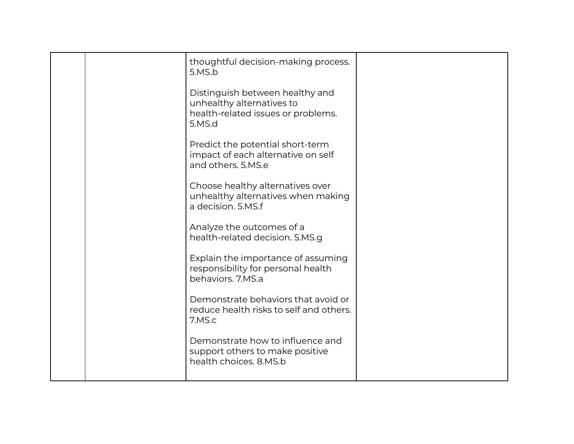| thoughtful decision-making process.<br>5.MS.b                                                                |  |
|--------------------------------------------------------------------------------------------------------------|--|
| Distinguish between healthy and<br>unhealthy alternatives to<br>health-related issues or problems.<br>5.MS.d |  |
| Predict the potential short-term<br>impact of each alternative on self<br>and others. 5.MS.e                 |  |
| Choose healthy alternatives over<br>unhealthy alternatives when making<br>a decision. 5.MS.f                 |  |
| Analyze the outcomes of a<br>health-related decision. 5.MS.g                                                 |  |
| Explain the importance of assuming<br>responsibility for personal health<br>behaviors, 7.MS.a                |  |
| Demonstrate behaviors that avoid or<br>reduce health risks to self and others.<br>7.MS.c                     |  |
| Demonstrate how to influence and<br>support others to make positive<br>health choices. 8.MS.b                |  |
|                                                                                                              |  |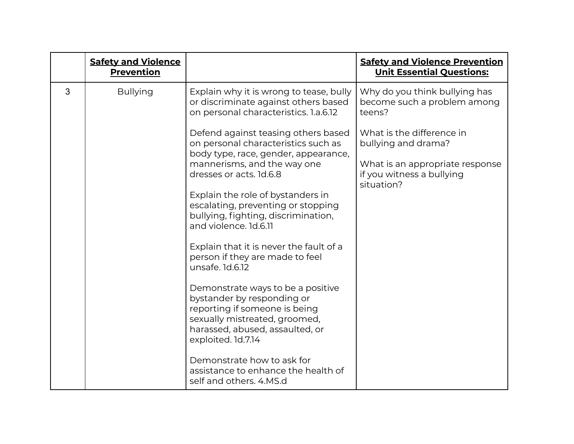|   | <b>Safety and Violence</b><br><b>Prevention</b> |                                                                                                                                                                                                                                                                                                                                                                                                                          | <b>Safety and Violence Prevention</b><br><b>Unit Essential Questions:</b>                                                      |
|---|-------------------------------------------------|--------------------------------------------------------------------------------------------------------------------------------------------------------------------------------------------------------------------------------------------------------------------------------------------------------------------------------------------------------------------------------------------------------------------------|--------------------------------------------------------------------------------------------------------------------------------|
| 3 | <b>Bullying</b>                                 | Explain why it is wrong to tease, bully<br>or discriminate against others based<br>on personal characteristics. 1.a.6.12                                                                                                                                                                                                                                                                                                 | Why do you think bullying has<br>become such a problem among<br>teens?                                                         |
|   |                                                 | Defend against teasing others based<br>on personal characteristics such as<br>body type, race, gender, appearance,<br>mannerisms, and the way one<br>dresses or acts. 1d.6.8<br>Explain the role of bystanders in<br>escalating, preventing or stopping<br>bullying, fighting, discrimination,<br>and violence, 1d.6.11<br>Explain that it is never the fault of a<br>person if they are made to feel<br>unsafe. 1d.6.12 | What is the difference in<br>bullying and drama?<br>What is an appropriate response<br>if you witness a bullying<br>situation? |
|   |                                                 | Demonstrate ways to be a positive<br>bystander by responding or<br>reporting if someone is being<br>sexually mistreated, groomed,<br>harassed, abused, assaulted, or<br>exploited. 1d.7.14<br>Demonstrate how to ask for<br>assistance to enhance the health of<br>self and others. 4.MS.d                                                                                                                               |                                                                                                                                |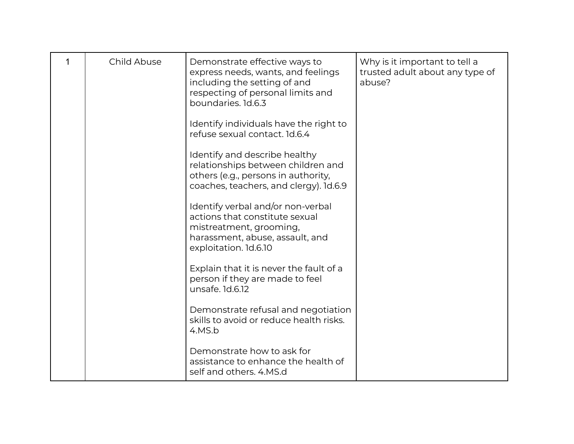| Child Abuse | Demonstrate effective ways to<br>express needs, wants, and feelings<br>including the setting of and<br>respecting of personal limits and<br>boundaries. 1d.6.3 | Why is it important to tell a<br>trusted adult about any type of<br>abuse? |
|-------------|----------------------------------------------------------------------------------------------------------------------------------------------------------------|----------------------------------------------------------------------------|
|             | Identify individuals have the right to<br>refuse sexual contact. 1d.6.4                                                                                        |                                                                            |
|             | Identify and describe healthy<br>relationships between children and<br>others (e.g., persons in authority,<br>coaches, teachers, and clergy). 1d.6.9           |                                                                            |
|             | Identify verbal and/or non-verbal<br>actions that constitute sexual<br>mistreatment, grooming,<br>harassment, abuse, assault, and<br>exploitation. 1d.6.10     |                                                                            |
|             | Explain that it is never the fault of a<br>person if they are made to feel<br>unsafe. 1d.6.12                                                                  |                                                                            |
|             | Demonstrate refusal and negotiation<br>skills to avoid or reduce health risks.<br>4.MS.b                                                                       |                                                                            |
|             | Demonstrate how to ask for<br>assistance to enhance the health of<br>self and others, 4.MS.d                                                                   |                                                                            |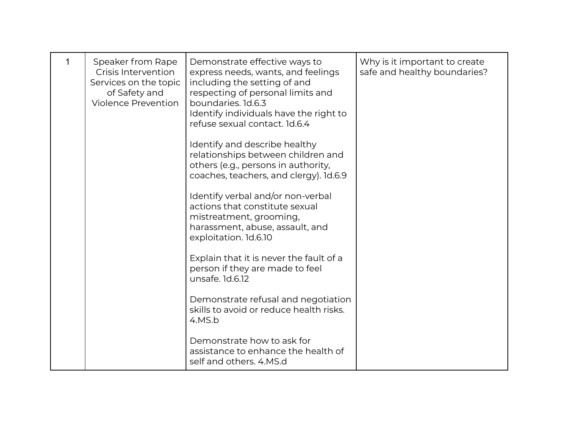| 1 | Speaker from Rape<br>Crisis Intervention<br>Services on the topic<br>of Safety and<br><b>Violence Prevention</b> | Demonstrate effective ways to<br>express needs, wants, and feelings<br>including the setting of and<br>respecting of personal limits and<br>boundaries. 1d.6.3<br>Identify individuals have the right to<br>refuse sexual contact. 1d.6.4 | Why is it important to create<br>safe and healthy boundaries? |
|---|------------------------------------------------------------------------------------------------------------------|-------------------------------------------------------------------------------------------------------------------------------------------------------------------------------------------------------------------------------------------|---------------------------------------------------------------|
|   |                                                                                                                  | Identify and describe healthy<br>relationships between children and<br>others (e.g., persons in authority,<br>coaches, teachers, and clergy). 1d.6.9                                                                                      |                                                               |
|   |                                                                                                                  | Identify verbal and/or non-verbal<br>actions that constitute sexual<br>mistreatment, grooming,<br>harassment, abuse, assault, and<br>exploitation. 1d.6.10                                                                                |                                                               |
|   |                                                                                                                  | Explain that it is never the fault of a<br>person if they are made to feel<br>unsafe. 1d.6.12                                                                                                                                             |                                                               |
|   |                                                                                                                  | Demonstrate refusal and negotiation<br>skills to avoid or reduce health risks.<br>4.MS.b                                                                                                                                                  |                                                               |
|   |                                                                                                                  | Demonstrate how to ask for<br>assistance to enhance the health of<br>self and others. 4.MS.d                                                                                                                                              |                                                               |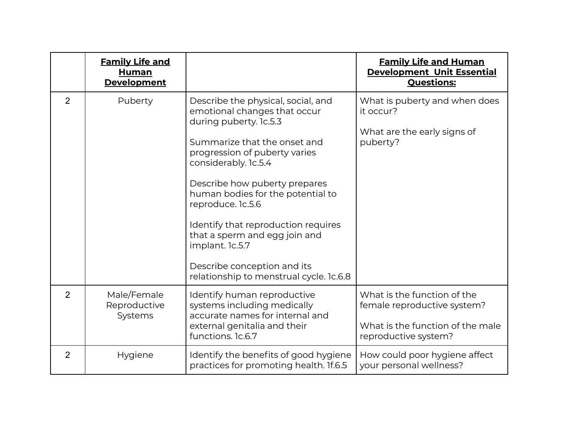|                | <b>Family Life and</b><br>Human<br><b>Development</b> |                                                                                                                                                                                                                                                                                                                                                                                                                                                       | <b>Family Life and Human</b><br><b>Development Unit Essential</b><br><b>Questions:</b>                                 |
|----------------|-------------------------------------------------------|-------------------------------------------------------------------------------------------------------------------------------------------------------------------------------------------------------------------------------------------------------------------------------------------------------------------------------------------------------------------------------------------------------------------------------------------------------|------------------------------------------------------------------------------------------------------------------------|
| $\overline{2}$ | Puberty                                               | Describe the physical, social, and<br>emotional changes that occur<br>during puberty. 1c.5.3<br>Summarize that the onset and<br>progression of puberty varies<br>considerably. 1c.5.4<br>Describe how puberty prepares<br>human bodies for the potential to<br>reproduce. 1c.5.6<br>Identify that reproduction requires<br>that a sperm and egg join and<br>implant. 1c.5.7<br>Describe conception and its<br>relationship to menstrual cycle. 1c.6.8 | What is puberty and when does<br>it occur?<br>What are the early signs of<br>puberty?                                  |
| $\overline{2}$ | Male/Female<br>Reproductive<br>Systems                | Identify human reproductive<br>systems including medically<br>accurate names for internal and<br>external genitalia and their<br>functions. 1c.6.7                                                                                                                                                                                                                                                                                                    | What is the function of the<br>female reproductive system?<br>What is the function of the male<br>reproductive system? |
| $\overline{2}$ | Hygiene                                               | Identify the benefits of good hygiene<br>practices for promoting health. If.6.5                                                                                                                                                                                                                                                                                                                                                                       | How could poor hygiene affect<br>your personal wellness?                                                               |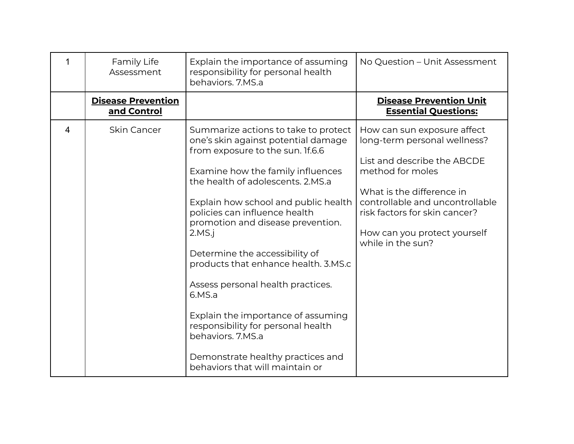|                | Family Life<br>Assessment                | Explain the importance of assuming<br>responsibility for personal health<br>behaviors. 7.MS.a                                                                                                                                                                                                                                                                                                                                                                                                                                               | No Question - Unit Assessment                                                                                                                                                                                                                                        |
|----------------|------------------------------------------|---------------------------------------------------------------------------------------------------------------------------------------------------------------------------------------------------------------------------------------------------------------------------------------------------------------------------------------------------------------------------------------------------------------------------------------------------------------------------------------------------------------------------------------------|----------------------------------------------------------------------------------------------------------------------------------------------------------------------------------------------------------------------------------------------------------------------|
|                | <b>Disease Prevention</b><br>and Control |                                                                                                                                                                                                                                                                                                                                                                                                                                                                                                                                             | <b>Disease Prevention Unit</b><br><b>Essential Questions:</b>                                                                                                                                                                                                        |
| $\overline{4}$ | <b>Skin Cancer</b>                       | Summarize actions to take to protect<br>one's skin against potential damage<br>from exposure to the sun. If.6.6<br>Examine how the family influences<br>the health of adolescents, 2.MS.a<br>Explain how school and public health<br>policies can influence health<br>promotion and disease prevention.<br>2.MS.i<br>Determine the accessibility of<br>products that enhance health. 3.MS.c<br>Assess personal health practices.<br>6.MS.a<br>Explain the importance of assuming<br>responsibility for personal health<br>behaviors. 7.MS.a | How can sun exposure affect<br>long-term personal wellness?<br>List and describe the ABCDE<br>method for moles<br>What is the difference in<br>controllable and uncontrollable<br>risk factors for skin cancer?<br>How can you protect yourself<br>while in the sun? |
|                |                                          | Demonstrate healthy practices and<br>behaviors that will maintain or                                                                                                                                                                                                                                                                                                                                                                                                                                                                        |                                                                                                                                                                                                                                                                      |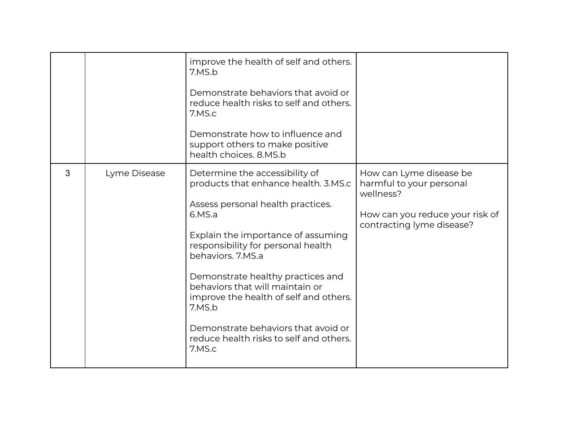|   |              | improve the health of self and others.<br>7.MS.b<br>Demonstrate behaviors that avoid or<br>reduce health risks to self and others.<br>7.MS.c<br>Demonstrate how to influence and<br>support others to make positive<br>health choices, 8.MS.b                                                                                                                                                                                                  |                                                                                                                                  |
|---|--------------|------------------------------------------------------------------------------------------------------------------------------------------------------------------------------------------------------------------------------------------------------------------------------------------------------------------------------------------------------------------------------------------------------------------------------------------------|----------------------------------------------------------------------------------------------------------------------------------|
| 3 | Lyme Disease | Determine the accessibility of<br>products that enhance health. 3.MS.c<br>Assess personal health practices.<br>6.MS.a<br>Explain the importance of assuming<br>responsibility for personal health<br>behaviors, 7.MS.a<br>Demonstrate healthy practices and<br>behaviors that will maintain or<br>improve the health of self and others.<br>7.MS.b<br>Demonstrate behaviors that avoid or<br>reduce health risks to self and others.<br>7.MS.c | How can Lyme disease be<br>harmful to your personal<br>wellness?<br>How can you reduce your risk of<br>contracting lyme disease? |